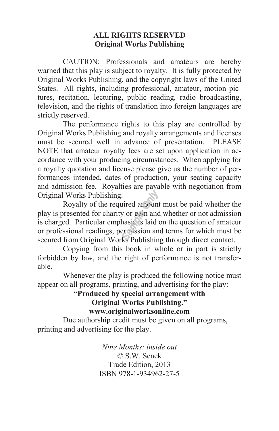#### **ALL RIGHTS RESERVED Original Works Publishing**

 CAUTION: Professionals and amateurs are hereby warned that this play is subject to royalty. It is fully protected by Original Works Publishing, and the copyright laws of the United States. All rights, including professional, amateur, motion pictures, recitation, lecturing, public reading, radio broadcasting, television, and the rights of translation into foreign languages are strictly reserved.

 The performance rights to this play are controlled by Original Works Publishing and royalty arrangements and licenses must be secured well in advance of presentation. PLEASE NOTE that amateur royalty fees are set upon application in accordance with your producing circumstances. When applying for a royalty quotation and license please give us the number of performances intended, dates of production, your seating capacity and admission fee. Royalties are payable with negotiation from Original Works Publishing.

 Royalty of the required amount must be paid whether the play is presented for charity or gain and whether or not admission is charged. Particular emphasis is laid on the question of amateur or professional readings, permission and terms for which must be secured from Original Works Publishing through direct contact.

 Copying from this book in whole or in part is strictly forbidden by law, and the right of performance is not transferable.

 Whenever the play is produced the following notice must appear on all programs, printing, and advertising for the play:

#### **"Produced by special arrangement with Original Works Publishing." www.originalworksonline.com**

 Due authorship credit must be given on all programs, printing and advertising for the play.

> *Nine Months: inside out*  © S.W. Senek Trade Edition, 2013 ISBN 978-1-934962-27-5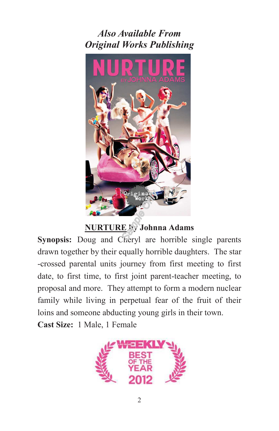*Also Available From Original Works Publishing* 



### **NURTURE by Johnna Adams**

**Synopsis:** Doug and Cheryl are horrible single parents drawn together by their equally horrible daughters. The star -crossed parental units journey from first meeting to first date, to first time, to first joint parent-teacher meeting, to proposal and more. They attempt to form a modern nuclear family while living in perpetual fear of the fruit of their loins and someone abducting young girls in their town. **Cast Size:** 1 Male, 1 Female

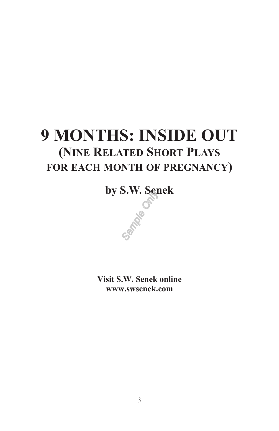## **9 MONTHS: INSIDE OUT (NINE RELATED SHORT PLAYS FOR EACH MONTH OF PREGNANCY)**

**by S.W. Senek** 

**Visit S.W. Senek online www.swsenek.com** 

3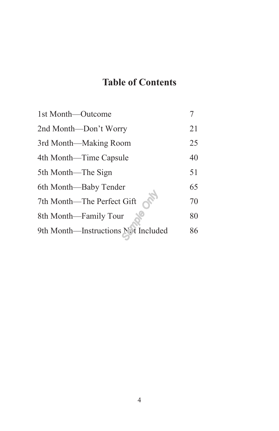### **Table of Contents**

| 1st Month—Outcome                   |    |
|-------------------------------------|----|
| 2nd Month—Don't Worry               | 21 |
| 3rd Month—Making Room               | 25 |
| 4th Month—Time Capsule              | 40 |
| 5th Month—The Sign                  | 51 |
| 6th Month—Baby Tender               | 65 |
| 7th Month-The Perfect Gift          | 70 |
| 8th Month—Family Tour               | 80 |
| 9th Month-Instructions Net Included | 86 |
|                                     |    |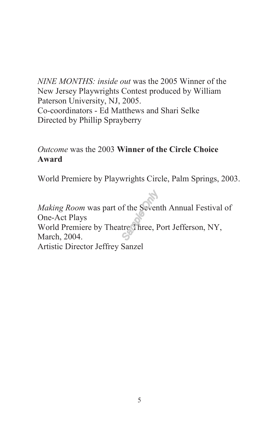*NINE MONTHS: inside out* was the 2005 Winner of the New Jersey Playwrights Contest produced by William Paterson University, NJ, 2005. Co-coordinators - Ed Matthews and Shari Selke Directed by Phillip Sprayberry

### *Outcome* was the 2003 **Winner of the Circle Choice Award**

World Premiere by Playwrights Circle, Palm Springs, 2003.

*Making Room* was part of the Seventh Annual Festival of One-Act Plays World Premiere by Theatre Three, Port Jefferson, NY, March, 2004. Artistic Director Jeffrey Sanzel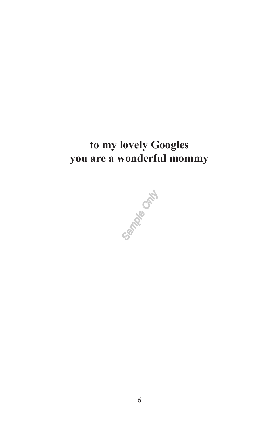### **to my lovely Googles you are a wonderful mommy**

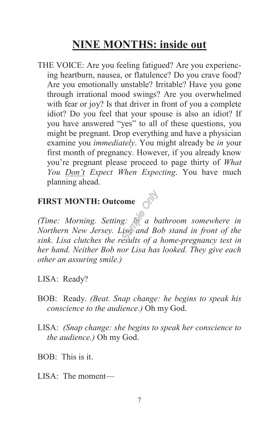### **NINE MONTHS: inside out**

THE VOICE: Are you feeling fatigued? Are you experiencing heartburn, nausea, or flatulence? Do you crave food? Are you emotionally unstable? Irritable? Have you gone through irrational mood swings? Are you overwhelmed with fear or joy? Is that driver in front of you a complete idiot? Do you feel that your spouse is also an idiot? If you have answered "yes" to all of these questions, you might be pregnant. Drop everything and have a physician examine you *immediately*. You might already be *in* your first month of pregnancy. However, if you already know you're pregnant please proceed to page thirty of *What You Don't Expect When Expecting*. You have much planning ahead.

# **FIRST MONTH: Outcome**

*(Time: Morning. Setting: In a bathroom somewhere in Northern New Jersey. Lisa and Bob stand in front of the sink. Lisa clutches the results of a home-pregnancy test in her hand. Neither Bob nor Lisa has looked. They give each other an assuring smile.)* 

LISA: Ready?

- BOB: Ready. *(Beat. Snap change: he begins to speak his conscience to the audience.)* Oh my God.
- LISA: *(Snap change: she begins to speak her conscience to the audience.)* Oh my God.

BOB: This is it.

 $LISA$  The moment—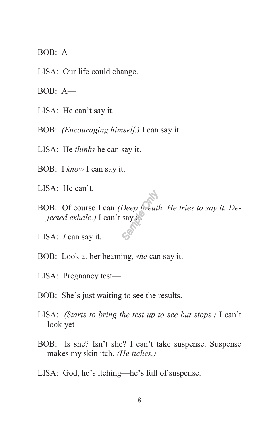- BOB: A—
- LISA: Our life could change.
- BOB: A—
- LISA: He can't say it.
- BOB: *(Encouraging himself.)* I can say it.
- LISA: He *thinks* he can say it.
- BOB: I *know* I can say it.
- LISA: He can't.
- BOB: Of course I can *(Deep breath. He tries to say it. Dejected exhale.)* I can't say it.
- LISA: *I* can say it.
- BOB: Look at her beaming, *she* can say it.
- LISA: Pregnancy test—
- BOB: She's just waiting to see the results.
- LISA: *(Starts to bring the test up to see but stops.)* I can't look yet—
- BOB: Is she? Isn't she? I can't take suspense. Suspense makes my skin itch. *(He itches.)*
- LISA: God, he's itching—he's full of suspense.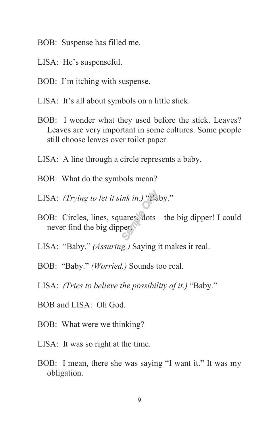- BOB: Suspense has filled me.
- LISA: He's suspenseful.
- BOB: I'm itching with suspense.
- LISA: It's all about symbols on a little stick.
- BOB: I wonder what they used before the stick. Leaves? Leaves are very important in some cultures. Some people still choose leaves over toilet paper.
- LISA: A line through a circle represents a baby.
- BOB: What do the symbols mean?
- LISA: *(Trying to let it sink in.)* "Baby."
- BOB: Circles, lines, squares, dots—the big dipper! I could never find the big dipper.
- LISA: "Baby." *(Assuring.)* Saying it makes it real.
- BOB: "Baby." *(Worried.)* Sounds too real.
- LISA: *(Tries to believe the possibility of it.)* "Baby."
- BOB and LISA: Oh God.
- BOB: What were we thinking?
- LISA: It was so right at the time.
- BOB: I mean, there she was saying "I want it." It was my obligation.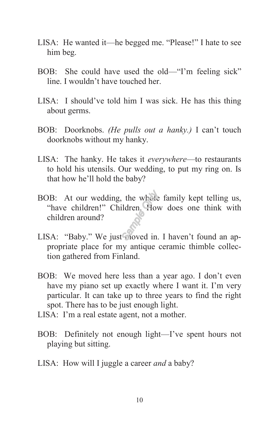- LISA: He wanted it—he begged me. "Please!" I hate to see him beg.
- BOB: She could have used the old—"I'm feeling sick" line. I wouldn't have touched her.
- LISA: I should've told him I was sick. He has this thing about germs.
- BOB: Doorknobs. *(He pulls out a hanky.)* I can't touch doorknobs without my hanky.
- LISA: The hanky. He takes it *everywhere*—to restaurants to hold his utensils. Our wedding, to put my ring on. Is that how he'll hold the baby?
- BOB: At our wedding, the whole family kept telling us, "have children!" Children. How does one think with children around?
- LISA: "Baby." We just moved in. I haven't found an appropriate place for my antique ceramic thimble collection gathered from Finland.
- BOB: We moved here less than a year ago. I don't even have my piano set up exactly where I want it. I'm very particular. It can take up to three years to find the right spot. There has to be just enough light.
- LISA: I'm a real estate agent, not a mother.
- BOB: Definitely not enough light—I've spent hours not playing but sitting.
- LISA: How will I juggle a career *and* a baby?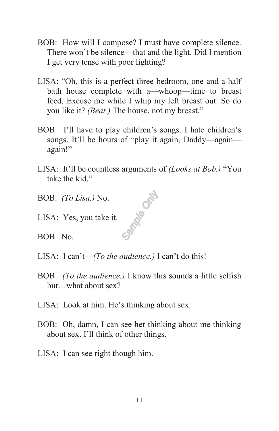- BOB: How will I compose? I must have complete silence. There won't be silence—that and the light. Did I mention I get very tense with poor lighting?
- LISA: "Oh, this is a perfect three bedroom, one and a half bath house complete with a—whoop—time to breast feed. Excuse me while I whip my left breast out. So do you like it? *(Beat.)* The house, not my breast."
- BOB: I'll have to play children's songs. I hate children's songs. It'll be hours of "play it again, Daddy—again again!"
- LISA: It'll be countless arguments of *(Looks at Bob.)* "You take the kid."

MARIO DAK

- BOB: *(To Lisa.)* No.
- LISA: Yes, you take it.
- BOB: No.
- LISA: I can't—*(To the audience.)* I can't do this!
- BOB: *(To the audience.)* I know this sounds a little selfish but…what about sex?
- LISA: Look at him. He's thinking about sex.
- BOB: Oh, damn, I can see her thinking about me thinking about sex. I'll think of other things.
- LISA: I can see right though him.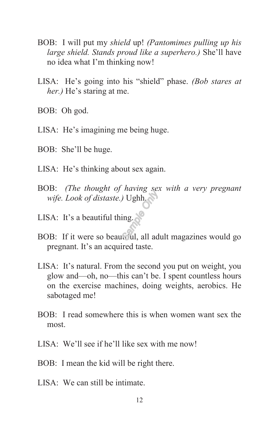- BOB: I will put my *shield* up! *(Pantomimes pulling up his large shield. Stands proud like a superhero.)* She'll have no idea what I'm thinking now!
- LISA: He's going into his "shield" phase. *(Bob stares at her.)* He's staring at me.
- BOB: Oh god.
- LISA: He's imagining me being huge.
- BOB: She'll be huge.
- LISA: He's thinking about sex again.
- BOB: *(The thought of having sex with a very pregnant wife. Look of distaste.)* Ughh.
- LISA: It's a beautiful thing.
- BOB: If it were so beautiful, all adult magazines would go pregnant. It's an acquired taste.
- LISA: It's natural. From the second you put on weight, you glow and—oh, no—this can't be. I spent countless hours on the exercise machines, doing weights, aerobics. He sabotaged me!
- BOB: I read somewhere this is when women want sex the most.
- LISA: We'll see if he'll like sex with me now!
- BOB: I mean the kid will be right there.
- $LISA:$  We can still be intimate.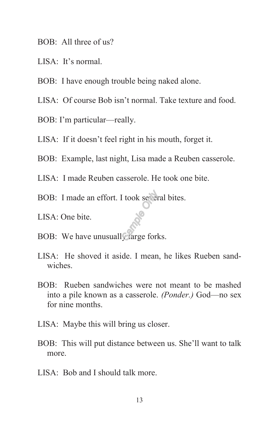- BOB: All three of us?
- LISA: It's normal.
- BOB: I have enough trouble being naked alone.
- LISA: Of course Bob isn't normal. Take texture and food.
- BOB: I'm particular—really.
- LISA: If it doesn't feel right in his mouth, forget it.
- BOB: Example, last night, Lisa made a Reuben casserole.
- LISA: I made Reuben casserole. He took one bite.
- BOB: I made an effort. I took several bites.
- LISA: One bite.
- BOB: We have unusually large forks.
- LISA: He shoved it aside. I mean, he likes Rueben sandwiches.
- BOB: Rueben sandwiches were not meant to be mashed into a pile known as a casserole. *(Ponder.)* God—no sex for nine months.
- LISA: Maybe this will bring us closer.
- BOB: This will put distance between us. She'll want to talk more.
- LISA: Bob and I should talk more.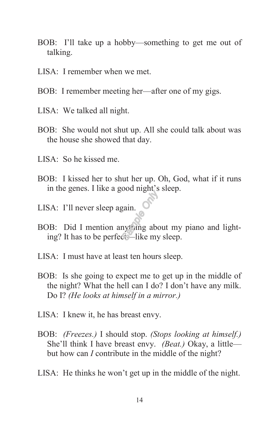- BOB: I'll take up a hobby—something to get me out of talking.
- LISA: I remember when we met.
- BOB: I remember meeting her—after one of my gigs.
- LISA: We talked all night.
- BOB: She would not shut up. All she could talk about was the house she showed that day.
- LISA: So he kissed me.
- BOB: I kissed her to shut her up. Oh, God, what if it runs in the genes. I like a good night's sleep.
- LISA: I'll never sleep again.
- BOB: Did I mention anything about my piano and lighting? It has to be perfect—like my sleep.
- LISA: I must have at least ten hours sleep.
- BOB: Is she going to expect me to get up in the middle of the night? What the hell can I do? I don't have any milk. Do I? *(He looks at himself in a mirror.)*
- LISA: I knew it, he has breast envy.
- BOB: *(Freezes.)* I should stop. *(Stops looking at himself.)* She'll think I have breast envy. *(Beat.)* Okay, a little but how can *I* contribute in the middle of the night?
- LISA: He thinks he won't get up in the middle of the night.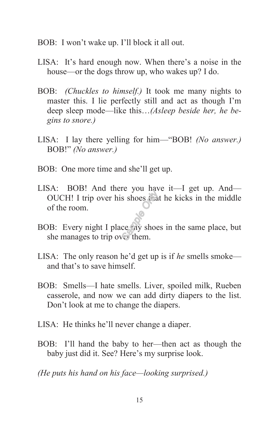- BOB: I won't wake up. I'll block it all out.
- LISA: It's hard enough now. When there's a noise in the house—or the dogs throw up, who wakes up? I do.
- BOB: *(Chuckles to himself.)* It took me many nights to master this. I lie perfectly still and act as though I'm deep sleep mode—like this…*(Asleep beside her, he begins to snore.)*
- LISA: I lay there yelling for him—"BOB! *(No answer.)* BOB!" *(No answer.)*
- BOB: One more time and she'll get up.
- LISA: BOB! And there you have it—I get up. And— OUCH! I trip over his shoes that he kicks in the middle of the room.
- BOB: Every night I place my shoes in the same place, but she manages to trip over them.
- LISA: The only reason he'd get up is if *he* smells smoke and that's to save himself.
- BOB: Smells—I hate smells. Liver, spoiled milk, Rueben casserole, and now we can add dirty diapers to the list. Don't look at me to change the diapers.
- LISA: He thinks he'll never change a diaper.
- BOB: I'll hand the baby to her—then act as though the baby just did it. See? Here's my surprise look.

*(He puts his hand on his face—looking surprised.)*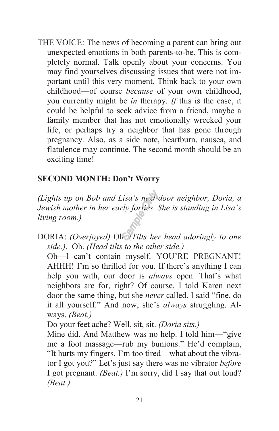THE VOICE: The news of becoming a parent can bring out unexpected emotions in both parents-to-be. This is completely normal. Talk openly about your concerns. You may find yourselves discussing issues that were not important until this very moment. Think back to your own childhood—of course *because* of your own childhood, you currently might be *in* therapy. *If* this is the case, it could be helpful to seek advice from a friend, maybe a family member that has not emotionally wrecked your life, or perhaps try a neighbor that has gone through pregnancy. Also, as a side note, heartburn, nausea, and flatulence may continue. The second month should be an exciting time!

### **SECOND MONTH: Don't Worry**

*(Lights up on Bob and Lisa's next-door neighbor, Doria, a Jewish mother in her early forties. She is standing in Lisa's living room.)* 

DORIA: *(Overjoyed)* Oh. *(Tilts her head adoringly to one side.)*. Oh. *(Head tilts to the other side.)*

 Oh—I can't contain myself. YOU'RE PREGNANT! AHHH! I'm so thrilled for you. If there's anything I can help you with, our door is *always* open. That's what neighbors are for, right? Of course. I told Karen next door the same thing, but she *never* called. I said "fine, do it all yourself." And now, she's *always* struggling. Always. *(Beat.)*

Do your feet ache? Well, sit, sit. *(Doria sits.)* 

 Mine did. And Matthew was no help. I told him—"give me a foot massage—rub my bunions." He'd complain, "It hurts my fingers, I'm too tired—what about the vibrator I got you?" Let's just say there was no vibrator *before* I got pregnant. *(Beat.)* I'm sorry, did I say that out loud? *(Beat.)*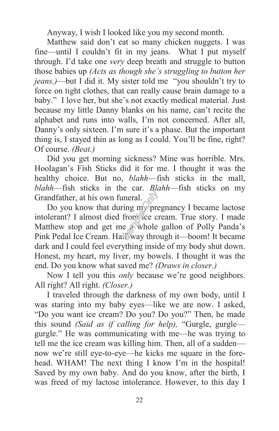Anyway, I wish I looked like you my second month.

Matthew said don't eat so many chicken nuggets. I was fine—until I couldn't fit in my jeans. What I put myself through. I'd take one *very* deep breath and struggle to button those babies up *(Acts as though she's struggling to button her jeans.)*—but I did it. My sister told me "you shouldn't try to force on tight clothes, that can really cause brain damage to a baby." I love her, but she's not exactly medical material. Just because my little Danny blanks on his name, can't recite the alphabet and runs into walls, I'm not concerned. After all, Danny's only sixteen. I'm sure it's a phase. But the important thing is, I stayed thin as long as I could. You'll be fine, right? Of course. *(Beat.)*

Did you get morning sickness? Mine was horrible. Mrs. Hoolagan's Fish Sticks did it for me. I thought it was the healthy choice. But no, *blahh*—fish sticks in the mall, *blahh*—fish sticks in the car. *Blahh*—fish sticks on my Grandfather, at his own funeral.

Do you know that during my pregnancy I became lactose intolerant? I almost died from ice cream. True story. I made Matthew stop and get me a whole gallon of Polly Panda's Pink Pedal Ice Cream. Half-way through it—boom! It became dark and I could feel everything inside of my body shut down. Honest, my heart, my liver, my bowels. I thought it was the end. Do you know what saved me? *(Draws in closer.)*

Now I tell you this *only* because we're good neighbors. All right? All right. *(Closer.)*

I traveled through the darkness of my own body, until I was staring into my baby eyes—like we are now. I asked, "Do you want ice cream? Do you? Do you?" Then, he made this sound *(Said as if calling for help),* "Gurgle, gurgle gurgle." He was communicating with me—he was trying to tell me the ice cream was killing him. Then, all of a sudden now we're still eye-to-eye—he kicks me square in the forehead. WHAM! The next thing I know I'm in the hospital! Saved by my own baby. And do you know, after the birth, I was freed of my lactose intolerance. However, to this day I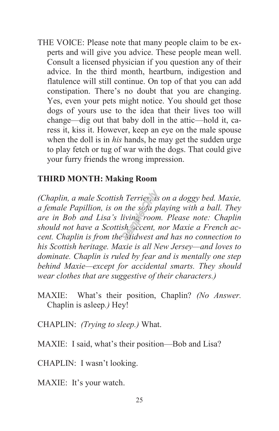THE VOICE: Please note that many people claim to be experts and will give you advice. These people mean well. Consult a licensed physician if you question any of their advice. In the third month, heartburn, indigestion and flatulence will still continue. On top of that you can add constipation. There's no doubt that you are changing. Yes, even your pets might notice. You should get those dogs of yours use to the idea that their lives too will change—dig out that baby doll in the attic—hold it, caress it, kiss it. However, keep an eye on the male spouse when the doll is in *his* hands, he may get the sudden urge to play fetch or tug of war with the dogs. That could give your furry friends the wrong impression.

### **THIRD MONTH: Making Room**

*(Chaplin, a male Scottish Terrier, is on a doggy bed. Maxie, a female Papillion, is on the sofa playing with a ball. They are in Bob and Lisa's living room. Please note: Chaplin should not have a Scottish accent, nor Maxie a French accent. Chaplin is from the Midwest and has no connection to his Scottish heritage. Maxie is all New Jersey—and loves to dominate. Chaplin is ruled by fear and is mentally one step behind Maxie—except for accidental smarts. They should wear clothes that are suggestive of their characters.)* 

- MAXIE: What's their position, Chaplin? *(No Answer.* Chaplin is asleep*.)* Hey!
- CHAPLIN: *(Trying to sleep.)* What.
- MAXIE: I said, what's their position—Bob and Lisa?

CHAPLIN: I wasn't looking.

MAXIE: It's your watch.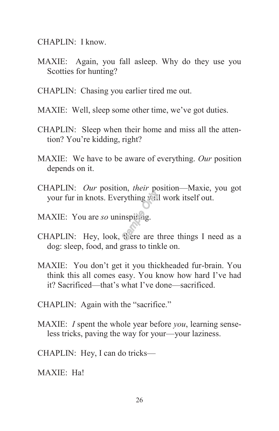CHAPLIN: I know.

- MAXIE: Again, you fall asleep. Why do they use you Scotties for hunting?
- CHAPLIN: Chasing you earlier tired me out.
- MAXIE: Well, sleep some other time, we've got duties.
- CHAPLIN: Sleep when their home and miss all the attention? You're kidding, right?
- MAXIE: We have to be aware of everything. *Our* position depends on it.
- CHAPLIN: *Our* position, *their* position—Maxie, you got your fur in knots. Everything will work itself out.
- MAXIE: You are *so* uninspiring.
- CHAPLIN: Hey, look, there are three things I need as a dog: sleep, food, and grass to tinkle on.
- MAXIE: You don't get it you thickheaded fur-brain. You think this all comes easy. You know how hard I've had it? Sacrificed—that's what I've done—sacrificed.
- CHAPLIN: Again with the "sacrifice."
- MAXIE: *I* spent the whole year before *you*, learning senseless tricks, paving the way for your—your laziness.
- CHAPLIN: Hey, I can do tricks—
- MAXIE: Ha!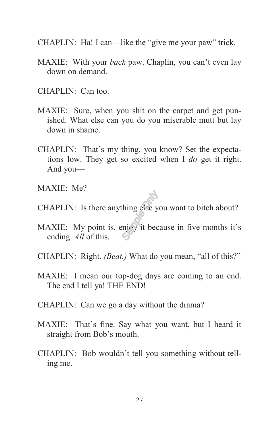- CHAPLIN: Ha! I can—like the "give me your paw" trick.
- MAXIE: With your *back* paw. Chaplin, you can't even lay down on demand.
- CHAPLIN: Can too.
- MAXIE: Sure, when you shit on the carpet and get punished. What else can you do you miserable mutt but lay down in shame.
- CHAPLIN: That's my thing, you know? Set the expectations low. They get so excited when I *do* get it right. And you—
- MAXIE: Me?
- CHAPLIN: Is there anything else you want to bitch about?
- MAXIE: My point is, enjoy it because in five months it's ending. *All* of this.
- CHAPLIN: Right. *(Beat.)* What do you mean, "all of this?"
- MAXIE: I mean our top-dog days are coming to an end. The end I tell ya! THE END!
- CHAPLIN: Can we go a day without the drama?
- MAXIE: That's fine. Say what you want, but I heard it straight from Bob's mouth.
- CHAPLIN: Bob wouldn't tell you something without telling me.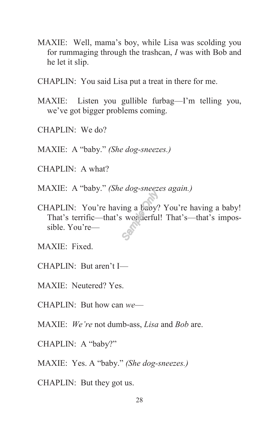- MAXIE: Well, mama's boy, while Lisa was scolding you for rummaging through the trashcan, *I* was with Bob and he let it slip.
- CHAPLIN: You said Lisa put a treat in there for me.
- MAXIE: Listen you gullible furbag—I'm telling you, we've got bigger problems coming.
- $CHAPI IN:$  We do?
- MAXIE: A "baby." *(She dog-sneezes.)*
- CHAPLIN: A what?
- MAXIE: A "baby." *(She dog-sneezes again.)*
- CHAPLIN: You're having a baby? You're having a baby! That's terrific—that's wonderful! That's—that's impossible. You're—
- MAXIE: Fixed.
- CHAPLIN: But aren't I—
- MAXIE: Neutered? Yes.
- CHAPLIN: But how can *we*—
- MAXIE: *We're* not dumb-ass, *Lisa* and *Bob* are.
- CHAPLIN: A "baby?"
- MAXIE: Yes. A "baby." *(She dog-sneezes.)*
- CHAPLIN: But they got us.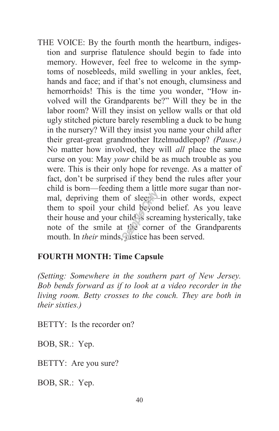THE VOICE: By the fourth month the heartburn, indigestion and surprise flatulence should begin to fade into memory. However, feel free to welcome in the symptoms of nosebleeds, mild swelling in your ankles, feet, hands and face; and if that's not enough, clumsiness and hemorrhoids! This is the time you wonder, "How involved will the Grandparents be?" Will they be in the labor room? Will they insist on yellow walls or that old ugly stitched picture barely resembling a duck to be hung in the nursery? Will they insist you name your child after their great-great grandmother Itzelmuddlepop? *(Pause.)* No matter how involved, they will *all* place the same curse on you: May *your* child be as much trouble as you were. This is their only hope for revenge. As a matter of fact, don't be surprised if they bend the rules after your child is born—feeding them a little more sugar than normal, depriving them of sleep—in other words, expect them to spoil your child beyond belief. As you leave their house and your child is screaming hysterically, take note of the smile at the corner of the Grandparents mouth. In *their* minds, justice has been served.

### **FOURTH MONTH: Time Capsule**

*(Setting: Somewhere in the southern part of New Jersey. Bob bends forward as if to look at a video recorder in the living room. Betty crosses to the couch. They are both in their sixties.)* 

BETTY: Is the recorder on?

BOB, SR.: Yep.

BETTY: Are you sure?

BOB, SR.: Yep.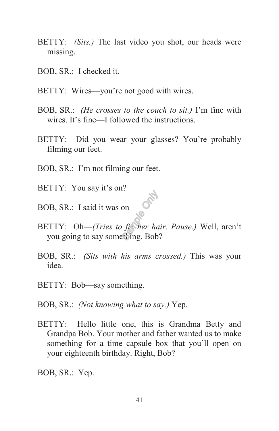- BETTY: *(Sits.)* The last video you shot, our heads were missing.
- BOB, SR.: I checked it.
- BETTY: Wires—you're not good with wires.
- BOB, SR.: *(He crosses to the couch to sit.)* I'm fine with wires. It's fine—I followed the instructions.
- BETTY: Did you wear your glasses? You're probably filming our feet.
- BOB, SR.: I'm not filming our feet.
- BETTY: You say it's on?
- BOB, SR.: I said it was on—
- BETTY: Oh—*(Tries to fix her hair. Pause.)* Well, aren't you going to say something, Bob?
- BOB, SR.: *(Sits with his arms crossed.)* This was your idea.
- BETTY: Bob—say something.
- BOB, SR.: *(Not knowing what to say.)* Yep.
- BETTY: Hello little one, this is Grandma Betty and Grandpa Bob. Your mother and father wanted us to make something for a time capsule box that you'll open on your eighteenth birthday. Right, Bob?

BOB, SR.: Yep.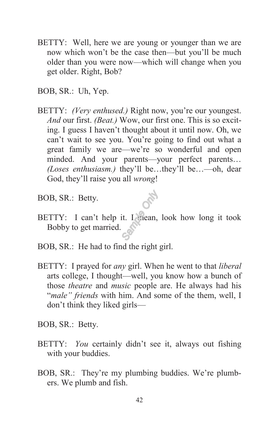- BETTY: Well, here we are young or younger than we are now which won't be the case then—but you'll be much older than you were now—which will change when you get older. Right, Bob?
- BOB, SR.: Uh, Yep.
- BETTY: *(Very enthused.)* Right now, you're our youngest. *And* our first. *(Beat.)* Wow, our first one. This is so exciting. I guess I haven't thought about it until now. Oh, we can't wait to see you. You're going to find out what a great family we are—we're so wonderful and open minded. And your parents—your perfect parents… *(Loses enthusiasm.)* they'll be…they'll be…—oh, dear God, they'll raise you all *wrong*!
- BOB, SR.: Betty.
- BETTY: I can't help it. I mean, look how long it took Bobby to get married.
- BOB, SR.: He had to find the right girl.
- BETTY: I prayed for *any* girl. When he went to that *liberal*  arts college, I thought—well, you know how a bunch of those *theatre* and *music* people are. He always had his "*male" friends* with him. And some of the them, well, I don't think they liked girls—
- BOB, SR.: Betty.
- BETTY: *You* certainly didn't see it, always out fishing with your buddies.
- BOB, SR.: They're my plumbing buddies. We're plumbers. We plumb and fish.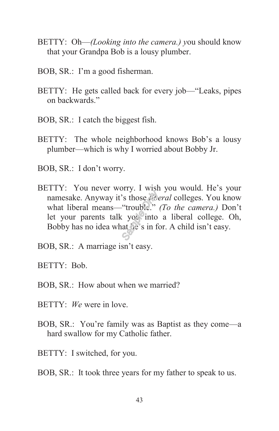- BETTY: Oh—*(Looking into the camera.) y*ou should know that your Grandpa Bob is a lousy plumber.
- BOB, SR.: I'm a good fisherman.
- BETTY: He gets called back for every job—"Leaks, pipes on backwards."
- BOB, SR.: I catch the biggest fish.
- BETTY: The whole neighborhood knows Bob's a lousy plumber—which is why I worried about Bobby Jr.
- BOB, SR.: I don't worry.
- BETTY: You never worry. I wish you would. He's your namesake. Anyway it's those *liberal* colleges. You know what liberal means—"trouble." *(To the camera.)* Don't let your parents talk you into a liberal college. Oh, Bobby has no idea what he's in for. A child isn't easy.
- BOB, SR.: A marriage isn't easy.
- BETTY: Bob.
- BOB, SR.: How about when we married?
- BETTY: *We* were in love.
- BOB, SR.: You're family was as Baptist as they come—a hard swallow for my Catholic father.
- BETTY: I switched, for you.
- BOB, SR.: It took three years for my father to speak to us.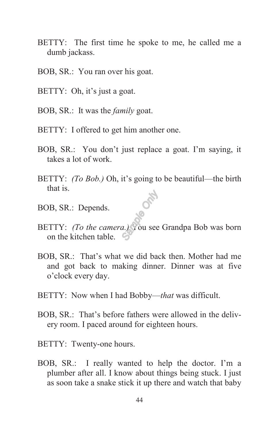- BETTY: The first time he spoke to me, he called me a dumb jackass.
- BOB, SR.: You ran over his goat.
- BETTY: Oh, it's just a goat.
- BOB, SR.: It was the *family* goat.
- BETTY: I offered to get him another one.
- BOB, SR.: You don't just replace a goat. I'm saying, it takes a lot of work.
- BETTY: *(To Bob.)* Oh, it's going to be beautiful—the birth that is.
- BOB, SR.: Depends.
- BETTY: *(To the camera.)* You see Grandpa Bob was born on the kitchen table.
- BOB, SR.: That's what we did back then. Mother had me and got back to making dinner. Dinner was at five o'clock every day.
- BETTY: Now when I had Bobby—*that* was difficult.
- BOB, SR.: That's before fathers were allowed in the delivery room. I paced around for eighteen hours.
- BETTY: Twenty-one hours.
- BOB, SR.: I really wanted to help the doctor. I'm a plumber after all. I know about things being stuck. I just as soon take a snake stick it up there and watch that baby